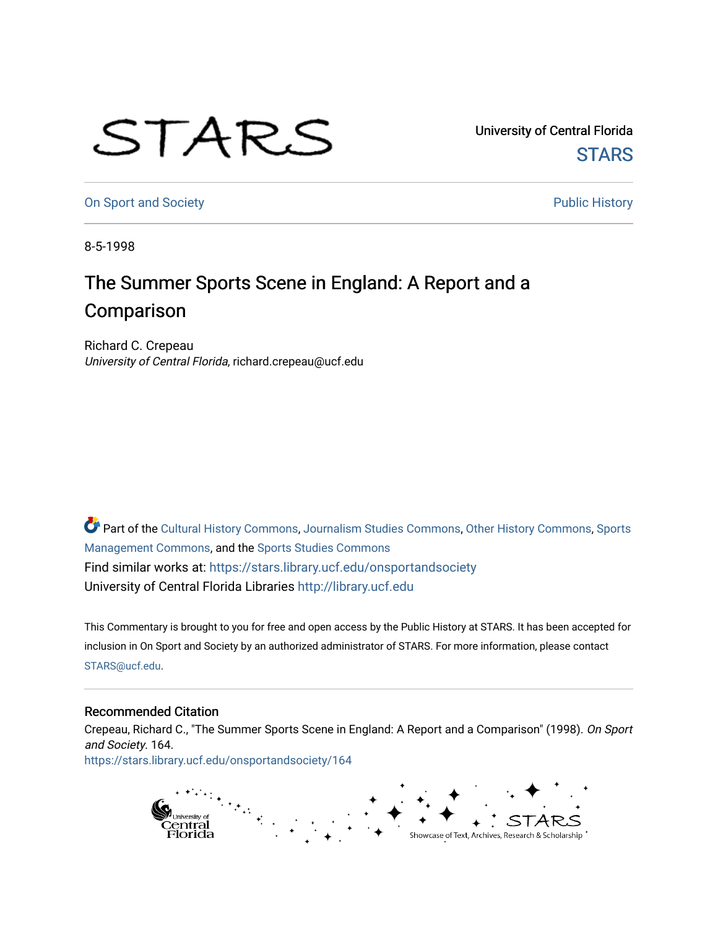## STARS

University of Central Florida **STARS** 

[On Sport and Society](https://stars.library.ucf.edu/onsportandsociety) **Public History** Public History

8-5-1998

## The Summer Sports Scene in England: A Report and a **Comparison**

Richard C. Crepeau University of Central Florida, richard.crepeau@ucf.edu

Part of the [Cultural History Commons](http://network.bepress.com/hgg/discipline/496?utm_source=stars.library.ucf.edu%2Fonsportandsociety%2F164&utm_medium=PDF&utm_campaign=PDFCoverPages), [Journalism Studies Commons,](http://network.bepress.com/hgg/discipline/333?utm_source=stars.library.ucf.edu%2Fonsportandsociety%2F164&utm_medium=PDF&utm_campaign=PDFCoverPages) [Other History Commons,](http://network.bepress.com/hgg/discipline/508?utm_source=stars.library.ucf.edu%2Fonsportandsociety%2F164&utm_medium=PDF&utm_campaign=PDFCoverPages) [Sports](http://network.bepress.com/hgg/discipline/1193?utm_source=stars.library.ucf.edu%2Fonsportandsociety%2F164&utm_medium=PDF&utm_campaign=PDFCoverPages) [Management Commons](http://network.bepress.com/hgg/discipline/1193?utm_source=stars.library.ucf.edu%2Fonsportandsociety%2F164&utm_medium=PDF&utm_campaign=PDFCoverPages), and the [Sports Studies Commons](http://network.bepress.com/hgg/discipline/1198?utm_source=stars.library.ucf.edu%2Fonsportandsociety%2F164&utm_medium=PDF&utm_campaign=PDFCoverPages) Find similar works at: <https://stars.library.ucf.edu/onsportandsociety> University of Central Florida Libraries [http://library.ucf.edu](http://library.ucf.edu/) 

This Commentary is brought to you for free and open access by the Public History at STARS. It has been accepted for inclusion in On Sport and Society by an authorized administrator of STARS. For more information, please contact [STARS@ucf.edu](mailto:STARS@ucf.edu).

## Recommended Citation

Crepeau, Richard C., "The Summer Sports Scene in England: A Report and a Comparison" (1998). On Sport and Society. 164. [https://stars.library.ucf.edu/onsportandsociety/164](https://stars.library.ucf.edu/onsportandsociety/164?utm_source=stars.library.ucf.edu%2Fonsportandsociety%2F164&utm_medium=PDF&utm_campaign=PDFCoverPages)

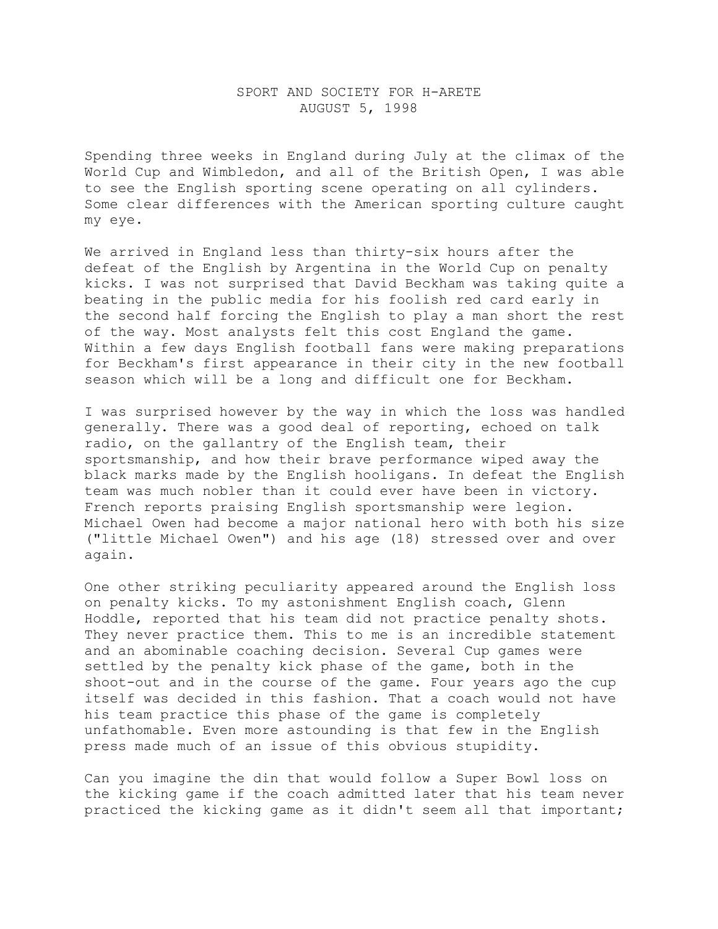## SPORT AND SOCIETY FOR H-ARETE AUGUST 5, 1998

Spending three weeks in England during July at the climax of the World Cup and Wimbledon, and all of the British Open, I was able to see the English sporting scene operating on all cylinders. Some clear differences with the American sporting culture caught my eye.

We arrived in England less than thirty-six hours after the defeat of the English by Argentina in the World Cup on penalty kicks. I was not surprised that David Beckham was taking quite a beating in the public media for his foolish red card early in the second half forcing the English to play a man short the rest of the way. Most analysts felt this cost England the game. Within a few days English football fans were making preparations for Beckham's first appearance in their city in the new football season which will be a long and difficult one for Beckham.

I was surprised however by the way in which the loss was handled generally. There was a good deal of reporting, echoed on talk radio, on the gallantry of the English team, their sportsmanship, and how their brave performance wiped away the black marks made by the English hooligans. In defeat the English team was much nobler than it could ever have been in victory. French reports praising English sportsmanship were legion. Michael Owen had become a major national hero with both his size ("little Michael Owen") and his age (18) stressed over and over again.

One other striking peculiarity appeared around the English loss on penalty kicks. To my astonishment English coach, Glenn Hoddle, reported that his team did not practice penalty shots. They never practice them. This to me is an incredible statement and an abominable coaching decision. Several Cup games were settled by the penalty kick phase of the game, both in the shoot-out and in the course of the game. Four years ago the cup itself was decided in this fashion. That a coach would not have his team practice this phase of the game is completely unfathomable. Even more astounding is that few in the English press made much of an issue of this obvious stupidity.

Can you imagine the din that would follow a Super Bowl loss on the kicking game if the coach admitted later that his team never practiced the kicking game as it didn't seem all that important;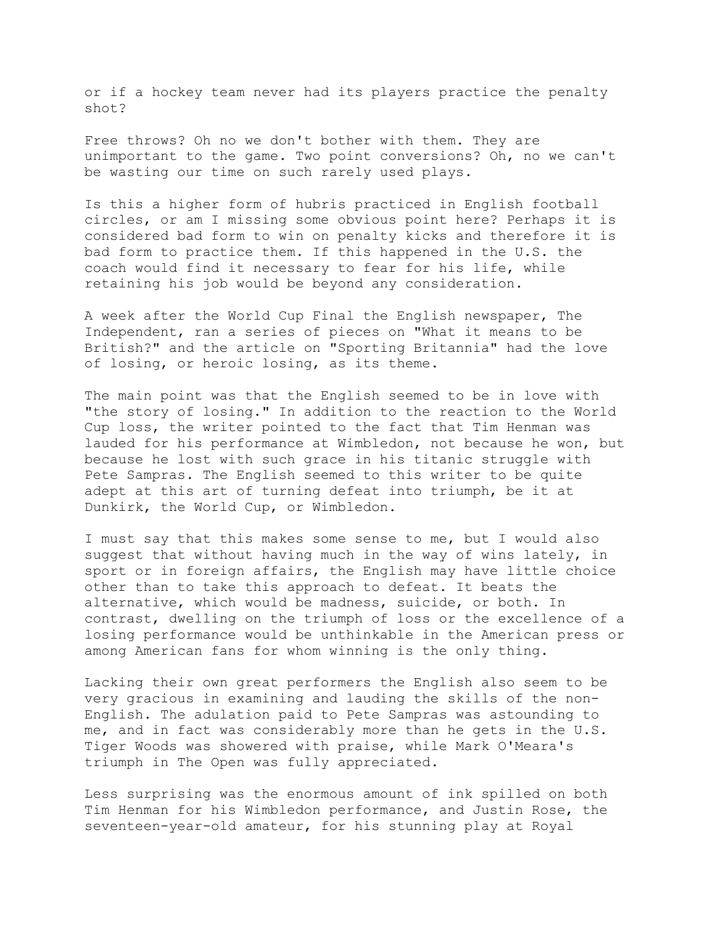or if a hockey team never had its players practice the penalty shot?

Free throws? Oh no we don't bother with them. They are unimportant to the game. Two point conversions? Oh, no we can't be wasting our time on such rarely used plays.

Is this a higher form of hubris practiced in English football circles, or am I missing some obvious point here? Perhaps it is considered bad form to win on penalty kicks and therefore it is bad form to practice them. If this happened in the U.S. the coach would find it necessary to fear for his life, while retaining his job would be beyond any consideration.

A week after the World Cup Final the English newspaper, The Independent, ran a series of pieces on "What it means to be British?" and the article on "Sporting Britannia" had the love of losing, or heroic losing, as its theme.

The main point was that the English seemed to be in love with "the story of losing." In addition to the reaction to the World Cup loss, the writer pointed to the fact that Tim Henman was lauded for his performance at Wimbledon, not because he won, but because he lost with such grace in his titanic struggle with Pete Sampras. The English seemed to this writer to be quite adept at this art of turning defeat into triumph, be it at Dunkirk, the World Cup, or Wimbledon.

I must say that this makes some sense to me, but I would also suggest that without having much in the way of wins lately, in sport or in foreign affairs, the English may have little choice other than to take this approach to defeat. It beats the alternative, which would be madness, suicide, or both. In contrast, dwelling on the triumph of loss or the excellence of a losing performance would be unthinkable in the American press or among American fans for whom winning is the only thing.

Lacking their own great performers the English also seem to be very gracious in examining and lauding the skills of the non-English. The adulation paid to Pete Sampras was astounding to me, and in fact was considerably more than he gets in the U.S. Tiger Woods was showered with praise, while Mark O'Meara's triumph in The Open was fully appreciated.

Less surprising was the enormous amount of ink spilled on both Tim Henman for his Wimbledon performance, and Justin Rose, the seventeen-year-old amateur, for his stunning play at Royal